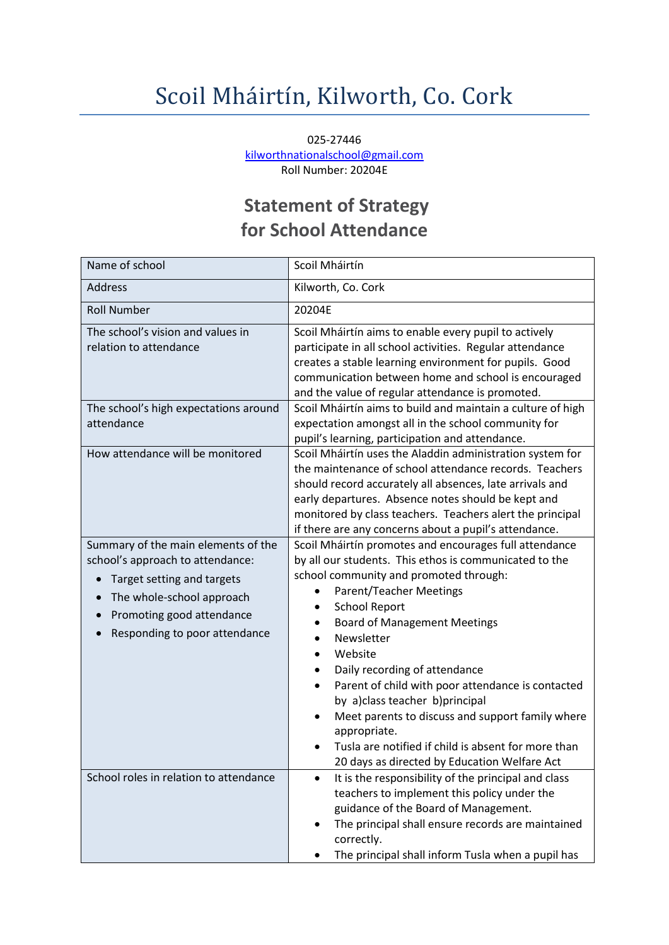## Scoil Mháirtín, Kilworth, Co. Cork

025-27446 [kilworthnationalschool@gmail.com](mailto:kilworthnationalschool@gmail.com) Roll Number: 20204E

## **Statement of Strategy for School Attendance**

| Name of school                                                                                                                                                                                                | Scoil Mháirtín                                                                                                                                                                                                                                                                                                                                                                                                                                                                                                                                                                                                                                           |
|---------------------------------------------------------------------------------------------------------------------------------------------------------------------------------------------------------------|----------------------------------------------------------------------------------------------------------------------------------------------------------------------------------------------------------------------------------------------------------------------------------------------------------------------------------------------------------------------------------------------------------------------------------------------------------------------------------------------------------------------------------------------------------------------------------------------------------------------------------------------------------|
| <b>Address</b>                                                                                                                                                                                                | Kilworth, Co. Cork                                                                                                                                                                                                                                                                                                                                                                                                                                                                                                                                                                                                                                       |
| <b>Roll Number</b>                                                                                                                                                                                            | 20204E                                                                                                                                                                                                                                                                                                                                                                                                                                                                                                                                                                                                                                                   |
| The school's vision and values in<br>relation to attendance                                                                                                                                                   | Scoil Mháirtín aims to enable every pupil to actively<br>participate in all school activities. Regular attendance<br>creates a stable learning environment for pupils. Good<br>communication between home and school is encouraged<br>and the value of regular attendance is promoted.                                                                                                                                                                                                                                                                                                                                                                   |
| The school's high expectations around<br>attendance                                                                                                                                                           | Scoil Mháirtín aims to build and maintain a culture of high<br>expectation amongst all in the school community for<br>pupil's learning, participation and attendance.                                                                                                                                                                                                                                                                                                                                                                                                                                                                                    |
| How attendance will be monitored                                                                                                                                                                              | Scoil Mháirtín uses the Aladdin administration system for<br>the maintenance of school attendance records. Teachers<br>should record accurately all absences, late arrivals and<br>early departures. Absence notes should be kept and<br>monitored by class teachers. Teachers alert the principal<br>if there are any concerns about a pupil's attendance.                                                                                                                                                                                                                                                                                              |
| Summary of the main elements of the<br>school's approach to attendance:<br>Target setting and targets<br>The whole-school approach<br>$\bullet$<br>Promoting good attendance<br>Responding to poor attendance | Scoil Mháirtín promotes and encourages full attendance<br>by all our students. This ethos is communicated to the<br>school community and promoted through:<br><b>Parent/Teacher Meetings</b><br><b>School Report</b><br>$\bullet$<br><b>Board of Management Meetings</b><br>Newsletter<br>$\bullet$<br>Website<br>$\bullet$<br>Daily recording of attendance<br>$\bullet$<br>Parent of child with poor attendance is contacted<br>$\bullet$<br>by a)class teacher b)principal<br>Meet parents to discuss and support family where<br>appropriate.<br>Tusla are notified if child is absent for more than<br>20 days as directed by Education Welfare Act |
| School roles in relation to attendance                                                                                                                                                                        | It is the responsibility of the principal and class<br>$\bullet$<br>teachers to implement this policy under the<br>guidance of the Board of Management.<br>The principal shall ensure records are maintained<br>٠<br>correctly.<br>The principal shall inform Tusla when a pupil has                                                                                                                                                                                                                                                                                                                                                                     |